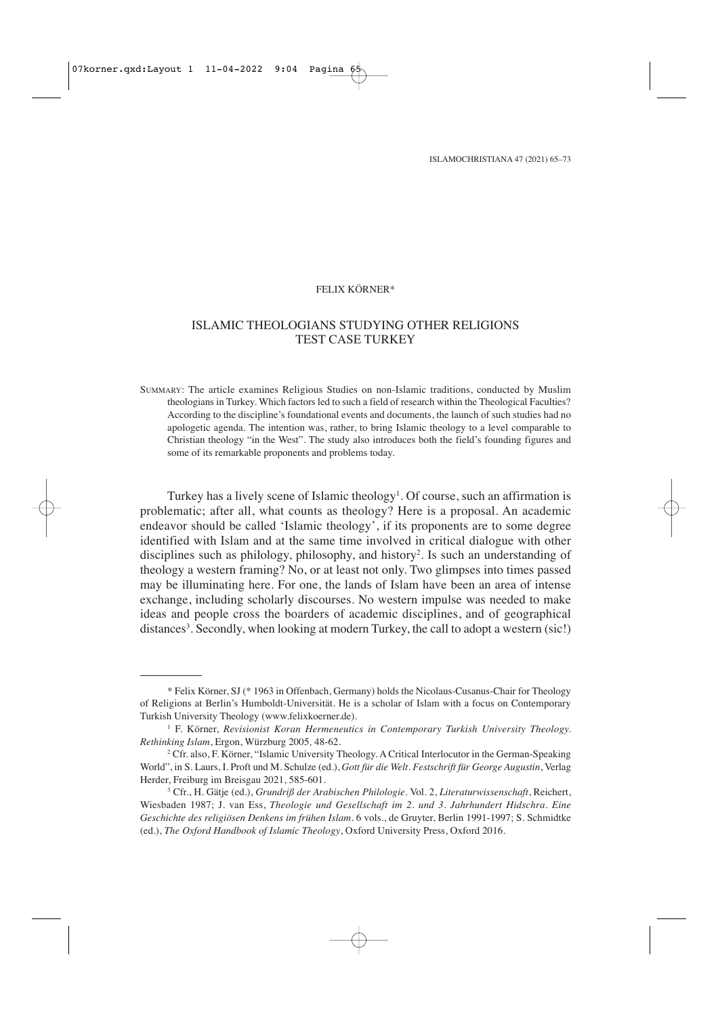#### FELIX KÖRNER\*

# ISLAMIC THEOLOGIANS STUDYING OTHER RELIGIONS TEST CASE TURKEY

SUMMARY: The article examines Religious Studies on non-Islamic traditions, conducted by Muslim theologians in Turkey. Which factors led to such a field of research within the Theological Faculties? According to the discipline's foundational events and documents, the launch of such studies had no apologetic agenda. The intention was, rather, to bring Islamic theology to a level comparable to Christian theology "in the West". The study also introduces both the field's founding figures and some of its remarkable proponents and problems today.

Turkey has a lively scene of Islamic theology<sup>1</sup>. Of course, such an affirmation is problematic; after all, what counts as theology? Here is a proposal. An academic endeavor should be called 'Islamic theology', if its proponents are to some degree identified with Islam and at the same time involved in critical dialogue with other disciplines such as philology, philosophy, and history<sup>2</sup>. Is such an understanding of theology a western framing? No, or at least not only. Two glimpses into times passed may be illuminating here. For one, the lands of Islam have been an area of intense exchange, including scholarly discourses. No western impulse was needed to make ideas and people cross the boarders of academic disciplines, and of geographical distances<sup>3</sup>. Secondly, when looking at modern Turkey, the call to adopt a western (sic!)

<sup>\*</sup> Felix Körner, SJ (\* 1963 in Offenbach, Germany) holds the Nicolaus-Cusanus-Chair for Theology of Religions at Berlin's Humboldt-Universität. He is a scholar of Islam with a focus on Contemporary Turkish University Theology (www.felixkoerner.de).

<sup>1</sup> F. Körner, *Revisionist Koran Hermeneutics in Contemporary Turkish University Theology. Rethinking Islam*, Ergon, Würzburg 2005*,* 48-62.

<sup>2</sup> Cfr. also, F. Körner, "Islamic University Theology. A Critical Interlocutor in the German-Speaking World", in S. Laurs, I. Proft und M. Schulze (ed.), *Gott für die Welt. Festschrift für George Augustin*, Verlag Herder, Freiburg im Breisgau 2021, 585-601.

<sup>3</sup> Cfr., H. Gätje (ed.), *Grundriß der Arabischen Philologie*. Vol. 2, *Literaturwissenschaft*, Reichert, Wiesbaden 1987; J. van Ess, *Theologie und Gesellschaft im 2. und 3. Jahrhundert Hidschra. Eine Geschichte des religiösen Denkens im frühen Islam*. 6 vols., de Gruyter, Berlin 1991-1997; S. Schmidtke (ed.), *The Oxford Handbook of Islamic Theology*, Oxford University Press, Oxford 2016.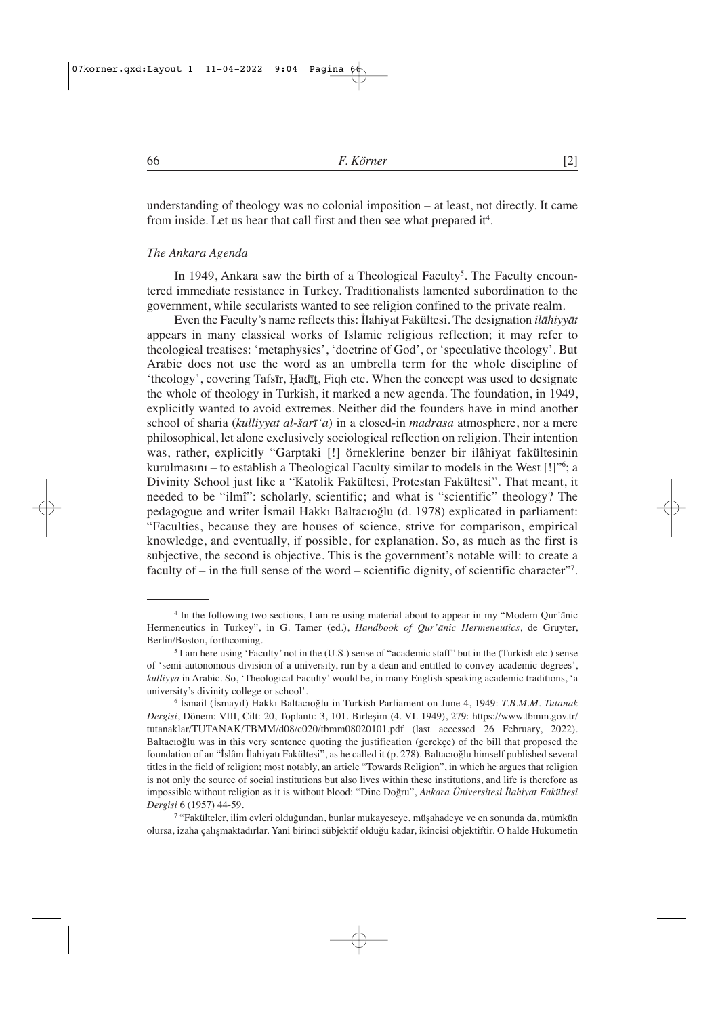understanding of theology was no colonial imposition – at least, not directly. It came from inside. Let us hear that call first and then see what prepared it<sup>4</sup>.

#### *The Ankara Agenda*

In 1949, Ankara saw the birth of a Theological Faculty<sup>5</sup>. The Faculty encountered immediate resistance in Turkey. Traditionalists lamented subordination to the government, while secularists wanted to see religion confined to the private realm.

Even the Faculty's name reflects this: İlahiyat Fakültesi. The designation *ilāhiyyāt* appears in many classical works of Islamic religious reflection; it may refer to theological treatises: 'metaphysics', 'doctrine of God', or 'speculative theology'. But Arabic does not use the word as an umbrella term for the whole discipline of 'theology', covering Tafsīr, Ḥadīṯ, Fiqh etc. When the concept was used to designate the whole of theology in Turkish, it marked a new agenda. The foundation, in 1949, explicitly wanted to avoid extremes. Neither did the founders have in mind another school of sharia (*kulliyyat al-šarī'a*) in a closed-in *madrasa* atmosphere, nor a mere philosophical, let alone exclusively sociological reflection on religion. Their intention was, rather, explicitly "Garptaki [!] örneklerine benzer bir ilâhiyat fakültesinin kurulmasını – to establish a Theological Faculty similar to models in the West [!]"6 ; a Divinity School just like a "Katolik Fakültesi, Protestan Fakültesi". That meant, it needed to be "ilmî": scholarly, scientific; and what is "scientific" theology? The pedagogue and writer İsmail Hakkı Baltacıoğlu (d. 1978) explicated in parliament: "Faculties, because they are houses of science, strive for comparison, empirical knowledge, and eventually, if possible, for explanation. So, as much as the first is subjective, the second is objective. This is the government's notable will: to create a faculty of – in the full sense of the word – scientific dignity, of scientific character"7 .

<sup>4</sup> In the following two sections, I am re-using material about to appear in my "Modern Qur'ānic Hermeneutics in Turkey", in G. Tamer (ed.), *Handbook of Qur'ānic Hermeneutics*, de Gruyter, Berlin/Boston, forthcoming.

<sup>5</sup> I am here using 'Faculty' not in the (U.S.) sense of "academic staff" but in the (Turkish etc.) sense of 'semi-autonomous division of a university, run by a dean and entitled to convey academic degrees', *kulliyya* in Arabic. So, 'Theological Faculty' would be, in many English-speaking academic traditions, 'a university's divinity college or school'.

<sup>6</sup> İsmail (İsmayıl) Hakkı Baltacıoğlu in Turkish Parliament on June 4, 1949: *T.B.M.M. Tutanak Dergisi*, Dönem: VIII, Cilt: 20, Toplantı: 3, 101. Birleşim (4. VI. 1949), 279: https://www.tbmm.gov.tr/ tutanaklar/TUTANAK/TBMM/d08/c020/tbmm08020101.pdf (last accessed 26 February, 2022). Baltacıoğlu was in this very sentence quoting the justification (gerekçe) of the bill that proposed the foundation of an "İslâm İlahiyatı Fakültesi", as he called it (p. 278). Baltacıoğlu himself published several titles in the field of religion; most notably, an article "Towards Religion", in which he argues that religion is not only the source of social institutions but also lives within these institutions, and life is therefore as impossible without religion as it is without blood: "Dine Doğru", *Ankara Üniversitesi İlahiyat Fakültesi Dergisi* 6 (1957) 44-59.

<sup>7</sup> "Fakülteler, ilim evleri olduğundan, bunlar mukayeseye, müşahadeye ve en sonunda da, mümkün olursa, izaha çalışmaktadırlar. Yani birinci sübjektif olduğu kadar, ikincisi objektiftir. O halde Hükümetin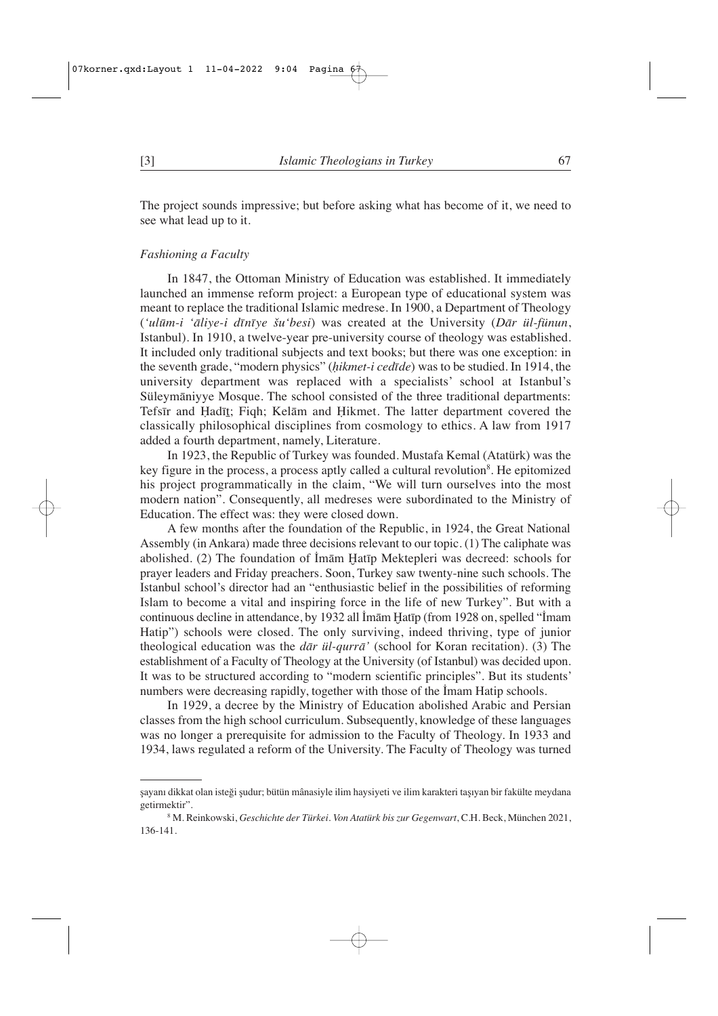The project sounds impressive; but before asking what has become of it, we need to see what lead up to it.

#### *Fashioning a Faculty*

In 1847, the Ottoman Ministry of Education was established. It immediately launched an immense reform project: a European type of educational system was meant to replace the traditional Islamic medrese. In 1900, a Department of Theology (*'ulūm-i 'āliye-i dīnīye šu'besi*) was created at the University (*Dār ül-fünun*, Istanbul). In 1910, a twelve-year pre-university course of theology was established. It included only traditional subjects and text books; but there was one exception: in the seventh grade, "modern physics" (*ḥikmet-i cedīde*) was to be studied. In 1914, the university department was replaced with a specialists' school at Istanbul's Süleymāniyye Mosque. The school consisted of the three traditional departments: Tefsīr and Ḥadīṯ; Fiqh; Kelām and Ḥikmet. The latter department covered the classically philosophical disciplines from cosmology to ethics. A law from 1917 added a fourth department, namely, Literature.

In 1923, the Republic of Turkey was founded. Mustafa Kemal (Atatürk) was the key figure in the process, a process aptly called a cultural revolution<sup>8</sup>. He epitomized his project programmatically in the claim, "We will turn ourselves into the most modern nation". Consequently, all medreses were subordinated to the Ministry of Education. The effect was: they were closed down.

A few months after the foundation of the Republic, in 1924, the Great National Assembly (in Ankara) made three decisions relevant to our topic. (1) The caliphate was abolished. (2) The foundation of İmām Ḫatīp Mektepleri was decreed: schools for prayer leaders and Friday preachers. Soon, Turkey saw twenty-nine such schools. The Istanbul school's director had an "enthusiastic belief in the possibilities of reforming Islam to become a vital and inspiring force in the life of new Turkey". But with a continuous decline in attendance, by 1932 all İmām Ḫatīp (from 1928 on, spelled "İmam Hatip") schools were closed. The only surviving, indeed thriving, type of junior theological education was the *dār ül-qurrā'* (school for Koran recitation). (3) The establishment of a Faculty of Theology at the University (of Istanbul) was decided upon. It was to be structured according to "modern scientific principles". But its students' numbers were decreasing rapidly, together with those of the İmam Hatip schools.

In 1929, a decree by the Ministry of Education abolished Arabic and Persian classes from the high school curriculum. Subsequently, knowledge of these languages was no longer a prerequisite for admission to the Faculty of Theology. In 1933 and 1934, laws regulated a reform of the University. The Faculty of Theology was turned

şayanı dikkat olan isteği şudur; bütün mânasiyle ilim haysiyeti ve ilim karakteri taşıyan bir fakülte meydana getirmektir".

<sup>8</sup> M. Reinkowski, *Geschichte der Türkei. Von Atatürk bis zur Gegenwart*, C.H. Beck, München 2021, 136-141.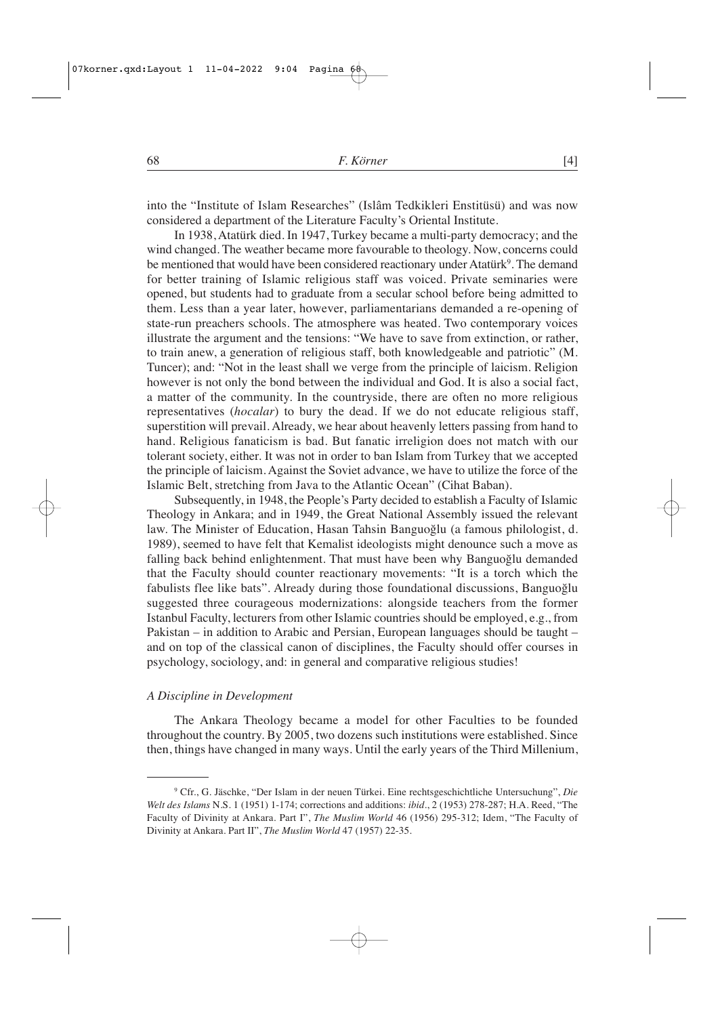into the "Institute of Islam Researches" (Islâm Tedkikleri Enstitüsü) and was now considered a department of the Literature Faculty's Oriental Institute.

In 1938, Atatürk died. In 1947, Turkey became a multi-party democracy; and the wind changed. The weather became more favourable to theology. Now, concerns could be mentioned that would have been considered reactionary under Atatürk<sup>9</sup>. The demand for better training of Islamic religious staff was voiced. Private seminaries were opened, but students had to graduate from a secular school before being admitted to them. Less than a year later, however, parliamentarians demanded a re-opening of state-run preachers schools. The atmosphere was heated. Two contemporary voices illustrate the argument and the tensions: "We have to save from extinction, or rather, to train anew, a generation of religious staff, both knowledgeable and patriotic" (M. Tuncer); and: "Not in the least shall we verge from the principle of laicism. Religion however is not only the bond between the individual and God. It is also a social fact, a matter of the community. In the countryside, there are often no more religious representatives (*hocalar*) to bury the dead. If we do not educate religious staff, superstition will prevail. Already, we hear about heavenly letters passing from hand to hand. Religious fanaticism is bad. But fanatic irreligion does not match with our tolerant society, either. It was not in order to ban Islam from Turkey that we accepted the principle of laicism. Against the Soviet advance, we have to utilize the force of the Islamic Belt, stretching from Java to the Atlantic Ocean" (Cihat Baban).

Subsequently, in 1948, the People's Party decided to establish a Faculty of Islamic Theology in Ankara; and in 1949, the Great National Assembly issued the relevant law. The Minister of Education, Hasan Tahsin Banguoğlu (a famous philologist, d. 1989), seemed to have felt that Kemalist ideologists might denounce such a move as falling back behind enlightenment. That must have been why Banguoğlu demanded that the Faculty should counter reactionary movements: "It is a torch which the fabulists flee like bats". Already during those foundational discussions, Banguoğlu suggested three courageous modernizations: alongside teachers from the former Istanbul Faculty, lecturers from other Islamic countries should be employed, e.g., from Pakistan – in addition to Arabic and Persian, European languages should be taught – and on top of the classical canon of disciplines, the Faculty should offer courses in psychology, sociology, and: in general and comparative religious studies!

## *A Discipline in Development*

The Ankara Theology became a model for other Faculties to be founded throughout the country. By 2005, two dozens such institutions were established. Since then, things have changed in many ways. Until the early years of the Third Millenium,

<sup>9</sup> Cfr., G. Jäschke, "Der Islam in der neuen Türkei. Eine rechtsgeschichtliche Untersuchung", *Die Welt des Islams* N.S. 1 (1951) 1-174; corrections and additions: *ibid.*, 2 (1953) 278-287; H.A. Reed, "The Faculty of Divinity at Ankara. Part I", *The Muslim World* 46 (1956) 295-312; Idem, "The Faculty of Divinity at Ankara. Part II", *The Muslim World* 47 (1957) 22-35.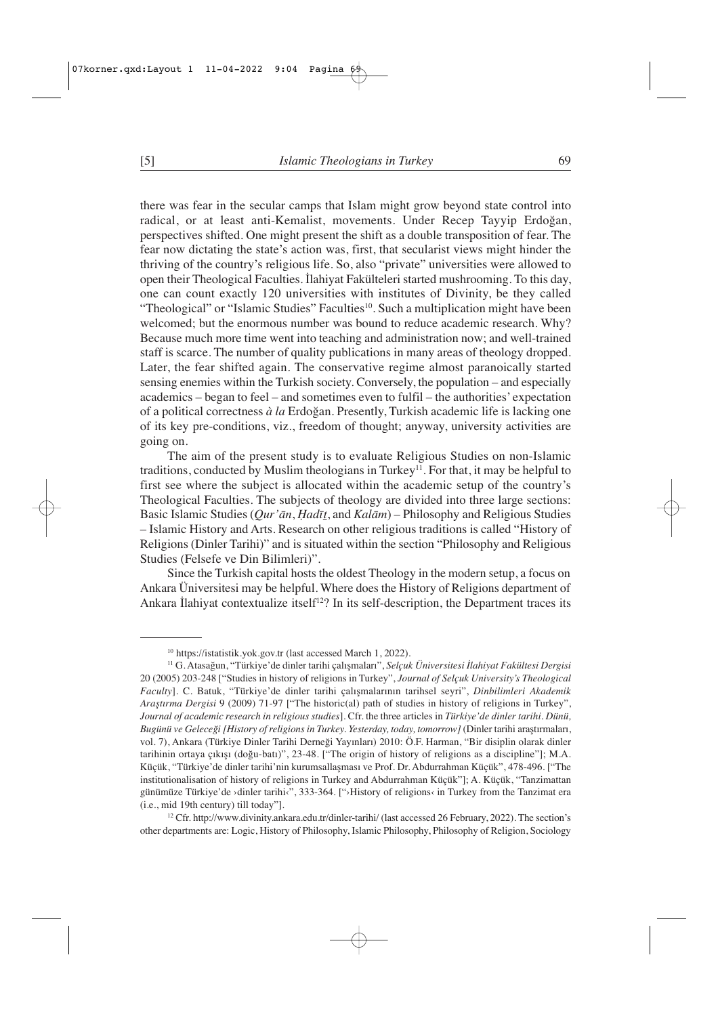there was fear in the secular camps that Islam might grow beyond state control into radical, or at least anti-Kemalist, movements. Under Recep Tayyip Erdoğan, perspectives shifted. One might present the shift as a double transposition of fear. The fear now dictating the state's action was, first, that secularist views might hinder the thriving of the country's religious life. So, also "private" universities were allowed to open their Theological Faculties. İlahiyat Fakülteleri started mushrooming. To this day, one can count exactly 120 universities with institutes of Divinity, be they called "Theological" or "Islamic Studies" Faculties<sup>10</sup>. Such a multiplication might have been welcomed; but the enormous number was bound to reduce academic research. Why? Because much more time went into teaching and administration now; and well-trained staff is scarce. The number of quality publications in many areas of theology dropped. Later, the fear shifted again. The conservative regime almost paranoically started sensing enemies within the Turkish society. Conversely, the population – and especially academics – began to feel – and sometimes even to fulfil – the authorities' expectation of a political correctness *à la* Erdoğan. Presently, Turkish academic life is lacking one of its key pre-conditions, viz., freedom of thought; anyway, university activities are going on.

The aim of the present study is to evaluate Religious Studies on non-Islamic traditions, conducted by Muslim theologians in Turkey<sup>11</sup>. For that, it may be helpful to first see where the subject is allocated within the academic setup of the country's Theological Faculties. The subjects of theology are divided into three large sections: Basic Islamic Studies (*Qur'ān*, *Ḥadīṯ*, and *Kalām*) – Philosophy and Religious Studies – Islamic History and Arts. Research on other religious traditions is called "History of Religions (Dinler Tarihi)" and is situated within the section "Philosophy and Religious Studies (Felsefe ve Din Bilimleri)".

Since the Turkish capital hosts the oldest Theology in the modern setup, a focus on Ankara Üniversitesi may be helpful. Where does the History of Religions department of Ankara İlahiyat contextualize itself<sup>12</sup>? In its self-description, the Department traces its

<sup>10</sup> https://istatistik.yok.gov.tr (last accessed March 1, 2022).

<sup>11</sup> G. Atasağun, "Türkiye'de dinler tarihi çalışmaları", *Selçuk Üniversitesi İlahiyat Fakültesi Dergisi* 20 (2005) 203-248 ["Studies in history of religions in Turkey", *Journal of Selçuk University's Theological Faculty*]. C. Batuk, "Türkiye'de dinler tarihi çalışmalarının tarihsel seyri", *Dinbilimleri Akademik Araştırma Dergisi* 9 (2009) 71-97 ["The historic(al) path of studies in history of religions in Turkey", *Journal of academic research in religious studies*]. Cfr. the three articles in *Türkiye'de dinler tarihi. Dünü, Bugünü ve Geleceği [History of religions in Turkey. Yesterday, today, tomorrow]* (Dinler tarihi araştırmaları, vol. 7), Ankara (Türkiye Dinler Tarihi Derneği Yayınları) 2010: Ö.F. Harman, "Bir disiplin olarak dinler tarihinin ortaya çıkışı (doğu-batı)", 23-48. ["The origin of history of religions as a discipline"]; M.A. Küçük, "Türkiye'de dinler tarihi'nin kurumsallaşması ve Prof. Dr. Abdurrahman Küçük", 478-496. ["The institutionalisation of history of religions in Turkey and Abdurrahman Küçük"]; A. Küçük, "Tanzimattan günümüze Türkiye'de ›dinler tarihi‹", 333-364. ["›History of religions‹ in Turkey from the Tanzimat era (i.e., mid 19th century) till today"].

<sup>12</sup> Cfr. http://www.divinity.ankara.edu.tr/dinler-tarihi/ (last accessed 26 February, 2022). The section's other departments are: Logic, History of Philosophy, Islamic Philosophy, Philosophy of Religion, Sociology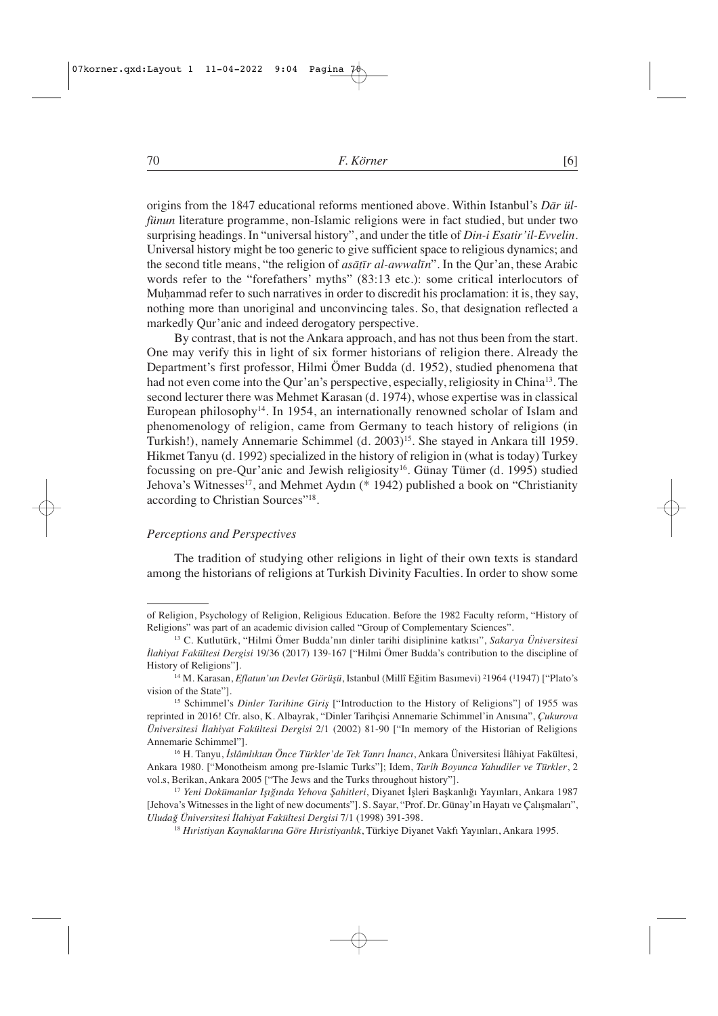origins from the 1847 educational reforms mentioned above. Within Istanbul's *Dār ülfünun* literature programme, non-Islamic religions were in fact studied, but under two surprising headings. In "universal history", and under the title of *Din-i Esatir'il-Evvelin*. Universal history might be too generic to give sufficient space to religious dynamics; and the second title means, "the religion of *asāṭīr al-awwalīn*". In the Qur'an, these Arabic words refer to the "forefathers' myths" (83:13 etc.): some critical interlocutors of Muhammad refer to such narratives in order to discredit his proclamation: it is, they say, nothing more than unoriginal and unconvincing tales. So, that designation reflected a markedly Qur'anic and indeed derogatory perspective.

By contrast, that is not the Ankara approach, and has not thus been from the start. One may verify this in light of six former historians of religion there. Already the Department's first professor, Hilmi Ömer Budda (d. 1952), studied phenomena that had not even come into the Qur'an's perspective, especially, religiosity in China<sup>13</sup>. The second lecturer there was Mehmet Karasan (d. 1974), whose expertise was in classical European philosophy<sup>14</sup>. In 1954, an internationally renowned scholar of Islam and phenomenology of religion, came from Germany to teach history of religions (in Turkish!), namely Annemarie Schimmel (d. 2003)15. She stayed in Ankara till 1959. Hikmet Tanyu (d. 1992) specialized in the history of religion in (what is today) Turkey focussing on pre-Qur'anic and Jewish religiosity<sup>16</sup>. Günay Tümer (d. 1995) studied Jehova's Witnesses<sup>17</sup>, and Mehmet Aydın (\* 1942) published a book on "Christianity" according to Christian Sources"18.

#### *Perceptions and Perspectives*

The tradition of studying other religions in light of their own texts is standard among the historians of religions at Turkish Divinity Faculties. In order to show some

of Religion, Psychology of Religion, Religious Education. Before the 1982 Faculty reform, "History of Religions" was part of an academic division called "Group of Complementary Sciences".

<sup>13</sup> C. Kutlutürk, "Hilmi Ömer Budda'nın dinler tarihi disiplinine katkısı", *Sakarya Üniversitesi İlahiyat Fakültesi Dergisi* 19/36 (2017) 139-167 ["Hilmi Ömer Budda's contribution to the discipline of History of Religions"].

<sup>&</sup>lt;sup>14</sup> M. Karasan, *Eflatun'un Devlet Görüşü*, Istanbul (Millî Eğitim Basımevi) <sup>2</sup>1964 (<sup>1</sup>1947) ["Plato's vision of the State"].

<sup>&</sup>lt;sup>15</sup> Schimmel's *Dinler Tarihine Giris* ["Introduction to the History of Religions"] of 1955 was reprinted in 2016! Cfr. also, K. Albayrak, "Dinler Tarihçisi Annemarie Schimmel'in Anısına", *Çukurova Üniversitesi İlahiyat Fakültesi Dergisi* 2/1 (2002) 81-90 ["In memory of the Historian of Religions Annemarie Schimmel"].

<sup>16</sup> H. Tanyu, *İslâmlıktan Önce Türkler'de Tek Tanrı İnancı*, Ankara Üniversitesi İlâhiyat Fakültesi, Ankara 1980. ["Monotheism among pre-Islamic Turks"]; Idem, *Tarih Boyunca Yahudiler ve Türkler*, 2 vol.s, Berikan, Ankara 2005 ["The Jews and the Turks throughout history"].

<sup>17</sup> *Yeni Dokümanlar Işığında Yehova Şahitleri*, Diyanet İşleri Başkanlığı Yayınları, Ankara 1987 [Jehova's Witnesses in the light of new documents"]. S. Sayar, "Prof. Dr. Günay'ın Hayatı ve Çalışmaları", *Uludağ Üniversitesi İlahiyat Fakültesi Dergisi* 7/1 (1998) 391-398.

<sup>18</sup> *Hıristiyan Kaynaklarına Göre Hıristiyanlık*, Türkiye Diyanet Vakfı Yayınları, Ankara 1995.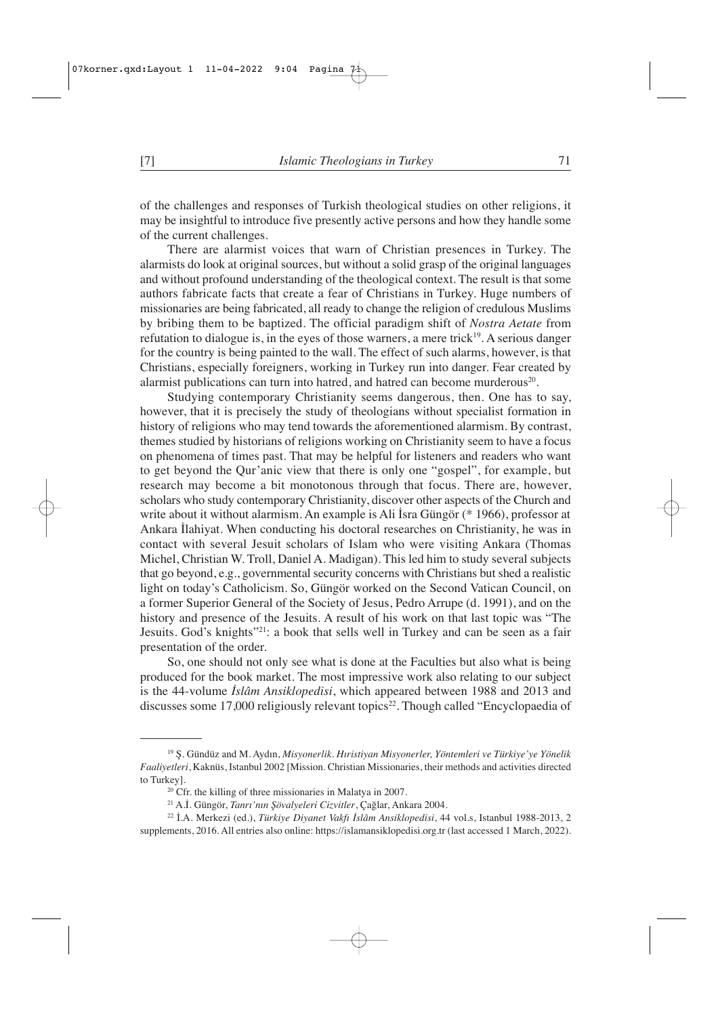of the challenges and responses of Turkish theological studies on other religions, it may be insightful to introduce five presently active persons and how they handle some of the current challenges.

There are alarmist voices that warn of Christian presences in Turkey. The alarmists do look at original sources, but without a solid grasp of the original languages and without profound understanding of the theological context. The result is that some authors fabricate facts that create a fear of Christians in Turkey. Huge numbers of missionaries are being fabricated, all ready to change the religion of credulous Muslims by bribing them to be baptized. The official paradigm shift of *Nostra Aetate* from refutation to dialogue is, in the eyes of those warners, a mere trick<sup>19</sup>. A serious danger for the country is being painted to the wall. The effect of such alarms, however, is that Christians, especially foreigners, working in Turkey run into danger. Fear created by alarmist publications can turn into hatred, and hatred can become murderous<sup>20</sup>.

Studying contemporary Christianity seems dangerous, then. One has to say, however, that it is precisely the study of theologians without specialist formation in history of religions who may tend towards the aforementioned alarmism. By contrast, themes studied by historians of religions working on Christianity seem to have a focus on phenomena of times past. That may be helpful for listeners and readers who want to get beyond the Qur'anic view that there is only one "gospel", for example, but research may become a bit monotonous through that focus. There are, however, scholars who study contemporary Christianity, discover other aspects of the Church and write about it without alarmism. An example is Ali İsra Güngör (\* 1966), professor at Ankara İlahiyat. When conducting his doctoral researches on Christianity, he was in contact with several Jesuit scholars of Islam who were visiting Ankara (Thomas Michel, Christian W. Troll, Daniel A. Madigan). This led him to study several subjects that go beyond, e.g., governmental security concerns with Christians but shed a realistic light on today's Catholicism. So, Güngör worked on the Second Vatican Council, on a former Superior General of the Society of Jesus, Pedro Arrupe (d. 1991), and on the history and presence of the Jesuits. A result of his work on that last topic was "The Jesuits. God's knights"<sup>21</sup>: a book that sells well in Turkey and can be seen as a fair presentation of the order.

So, one should not only see what is done at the Faculties but also what is being produced for the book market. The most impressive work also relating to our subject is the 44-volume *İslâm Ansiklopedisi*, which appeared between 1988 and 2013 and discusses some 17,000 religiously relevant topics<sup>22</sup>. Though called "Encyclopaedia of

<sup>19</sup> Ş. Gündüz and M. Aydın, *Misyonerlik. Hıristiyan Misyonerler, Yöntemleri ve Türkiye'ye Yönelik Faaliyetleri*, Kaknüs, Istanbul 2002 [Mission. Christian Missionaries, their methods and activities directed to Turkey].

<sup>&</sup>lt;sup>20</sup> Cfr. the killing of three missionaries in Malatya in 2007.

<sup>21</sup> A.İ. Güngör, *Tanrı'nın Şövalyeleri Cizvitler*, Çağlar, Ankara 2004.

<sup>22</sup> İ.A. Merkezi (ed.), *Türkiye Diyanet Vakfı İslâm Ansiklopedisi*, 44 vol.s, Istanbul 1988-2013, 2 supplements, 2016. All entries also online: https://islamansiklopedisi.org.tr (last accessed 1 March, 2022).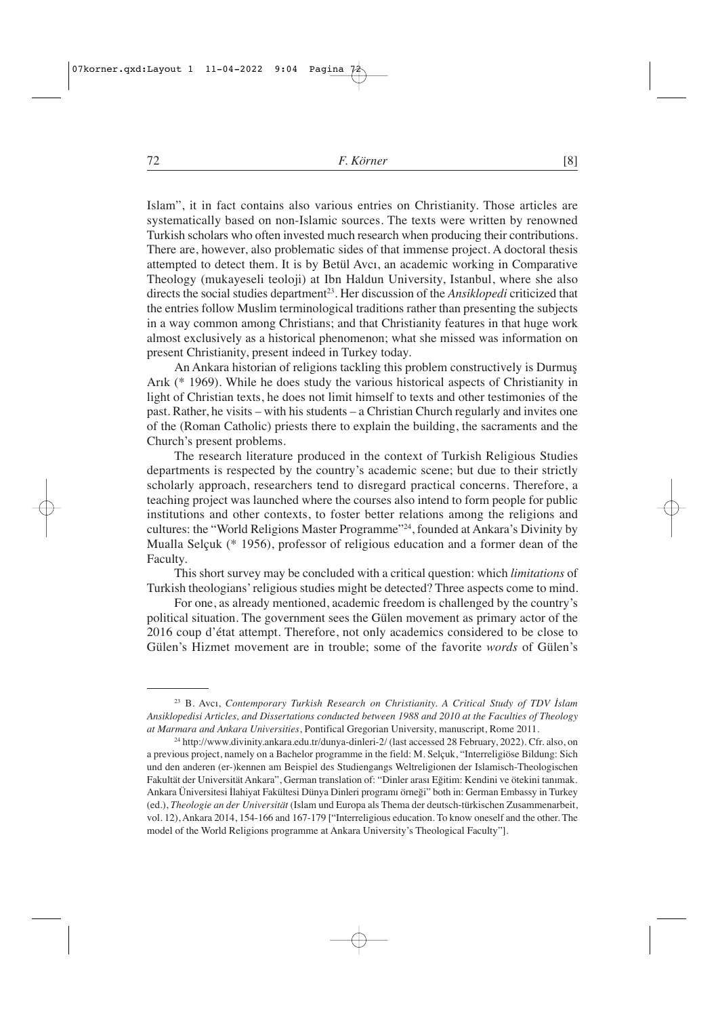Islam", it in fact contains also various entries on Christianity. Those articles are systematically based on non-Islamic sources. The texts were written by renowned Turkish scholars who often invested much research when producing their contributions. There are, however, also problematic sides of that immense project. A doctoral thesis attempted to detect them. It is by Betül Avcı, an academic working in Comparative Theology (mukayeseli teoloji) at Ibn Haldun University, Istanbul, where she also directs the social studies department<sup>23</sup>. Her discussion of the *Ansiklopedi* criticized that the entries follow Muslim terminological traditions rather than presenting the subjects in a way common among Christians; and that Christianity features in that huge work almost exclusively as a historical phenomenon; what she missed was information on present Christianity, present indeed in Turkey today.

An Ankara historian of religions tackling this problem constructively is Durmuş Arık (\* 1969). While he does study the various historical aspects of Christianity in light of Christian texts, he does not limit himself to texts and other testimonies of the past. Rather, he visits – with his students – a Christian Church regularly and invites one of the (Roman Catholic) priests there to explain the building, the sacraments and the Church's present problems.

The research literature produced in the context of Turkish Religious Studies departments is respected by the country's academic scene; but due to their strictly scholarly approach, researchers tend to disregard practical concerns. Therefore, a teaching project was launched where the courses also intend to form people for public institutions and other contexts, to foster better relations among the religions and cultures: the "World Religions Master Programme"24, founded at Ankara's Divinity by Mualla Selçuk (\* 1956), professor of religious education and a former dean of the Faculty.

This short survey may be concluded with a critical question: which *limitations* of Turkish theologians' religious studies might be detected? Three aspects come to mind.

For one, as already mentioned, academic freedom is challenged by the country's political situation. The government sees the Gülen movement as primary actor of the 2016 coup d'état attempt. Therefore, not only academics considered to be close to Gülen's Hizmet movement are in trouble; some of the favorite *words* of Gülen's

<sup>23</sup> B. Avcı, *Contemporary Turkish Research on Christianity. A Critical Study of TDV İslam Ansiklopedisi Articles, and Dissertations conducted between 1988 and 2010 at the Faculties of Theology at Marmara and Ankara Universities*, Pontifical Gregorian University, manuscript, Rome 2011.

<sup>24</sup> http://www.divinity.ankara.edu.tr/dunya-dinleri-2/ (last accessed 28 February, 2022). Cfr. also, on a previous project, namely on a Bachelor programme in the field: M. Selçuk, "Interreligiöse Bildung: Sich und den anderen (er-)kennen am Beispiel des Studiengangs Weltreligionen der Islamisch-Theologischen Fakultät der Universität Ankara", German translation of: "Dinler arası Eğitim: Kendini ve ötekini tanımak. Ankara Üniversitesi İlahiyat Fakültesi Dünya Dinleri programı örneği" both in: German Embassy in Turkey (ed.), *Theologie an der Universität* (Islam und Europa als Thema der deutsch-türkischen Zusammenarbeit, vol. 12), Ankara 2014, 154-166 and 167-179 ["Interreligious education. To know oneself and the other. The model of the World Religions programme at Ankara University's Theological Faculty"].